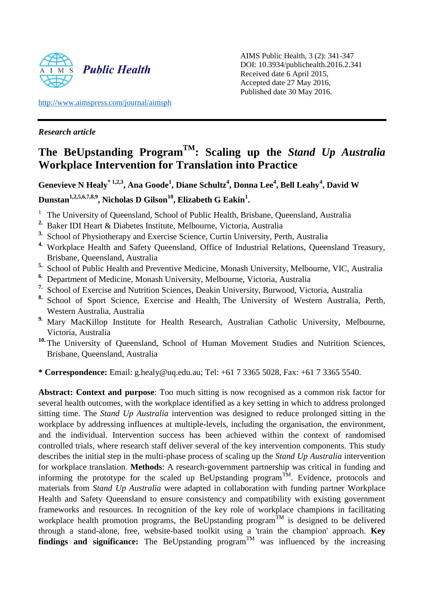

AIMS Public Health, 3 (2): 341-347 DOI: 10.3934/publichealth.2016.2.341 Received date 6 April 2015, Accepted date 27 May 2016, Published date 30 May 2016.

<http://www.aimspress.com/journal/aimsph>

# *Research article*

# **The BeUpstanding ProgramTM : Scaling up the** *Stand Up Australia* **Workplace Intervention for Translation into Practice**

**Genevieve N Healy\* 1,2,3, Ana Goode<sup>1</sup> , Diane Schultz<sup>4</sup> , Donna Lee<sup>4</sup> , Bell Leahy<sup>4</sup> , David W Dunstan1,2,5,6,7,8,9, Nicholas D Gilson<sup>10</sup> , Elizabeth G Eakin<sup>1</sup> .** 

- 1 The University of Queensland, School of Public Health, Brisbane, Queensland, Australia
- **2.** Baker IDI Heart & Diabetes Institute, Melbourne, Victoria, Australia
- **3.** School of Physiotherapy and Exercise Science, Curtin University, Perth, Australia
- **4.** Workplace Health and Safety Queensland, Office of Industrial Relations, Queensland Treasury, Brisbane, Queensland, Australia
- **5.** School of Public Health and Preventive Medicine, Monash University, Melbourne, VIC, Australia
- **6.** Department of Medicine, Monash University, Melbourne, Victoria, Australia
- **7.** School of Exercise and Nutrition Sciences, Deakin University, Burwood, Victoria, Australia
- **8.** School of Sport Science, Exercise and Health, The University of Western Australia, Perth, Western Australia, Australia
- **9.** Mary MacKillop Institute for Health Research, Australian Catholic University, Melbourne, Victoria, Australia
- <sup>10.</sup> The University of Queensland, School of Human Movement Studies and Nutrition Sciences, Brisbane, Queensland, Australia

**\* Correspondence:** Email: g.healy@uq.edu.au; Tel: +61 7 3365 5028, Fax: +61 7 3365 5540.

**Abstract: Context and purpose**: Too much sitting is now recognised as a common risk factor for several health outcomes, with the workplace identified as a key setting in which to address prolonged sitting time. The *Stand Up Australia* intervention was designed to reduce prolonged sitting in the workplace by addressing influences at multiple-levels, including the organisation, the environment, and the individual. Intervention success has been achieved within the context of randomised controlled trials, where research staff deliver several of the key intervention components. This study describes the initial step in the multi-phase process of scaling up the *Stand Up Australia* intervention for workplace translation. **Methods**: A research-government partnership was critical in funding and informing the prototype for the scaled up BeUpstanding program<sup>TM</sup>. Evidence, protocols and materials from *Stand Up Australia* were adapted in collaboration with funding partner Workplace Health and Safety Queensland to ensure consistency and compatibility with existing government frameworks and resources. In recognition of the key role of workplace champions in facilitating workplace health promotion programs, the BeUpstanding program<sup>TM</sup> is designed to be delivered through a stand-alone, free, website-based toolkit using a 'train the champion' approach. **Key findings and significance:** The BeUpstanding program<sup>TM</sup> was influenced by the increasing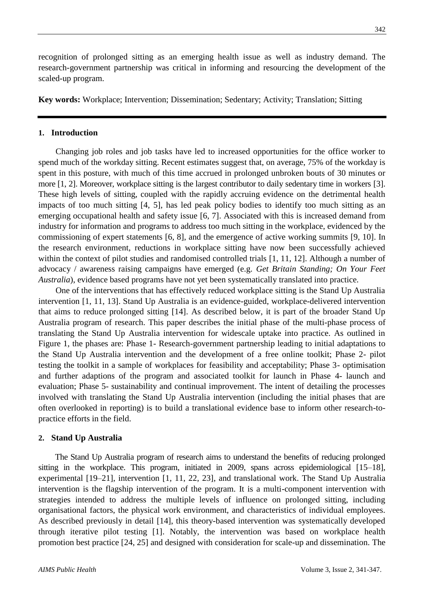recognition of prolonged sitting as an emerging health issue as well as industry demand. The research-government partnership was critical in informing and resourcing the development of the scaled-up program.

**Key words:** Workplace; Intervention; Dissemination; Sedentary; Activity; Translation; Sitting

#### **1. Introduction**

Changing job roles and job tasks have led to increased opportunities for the office worker to spend much of the workday sitting. Recent estimates suggest that, on average, 75% of the workday is spent in this posture, with much of this time accrued in prolonged unbroken bouts of 30 minutes or more [1, 2]. Moreover, workplace sitting is the largest contributor to daily sedentary time in workers [3]. These high levels of sitting, coupled with the rapidly accruing evidence on the detrimental health impacts of too much sitting [4, 5], has led peak policy bodies to identify too much sitting as an emerging occupational health and safety issue [6, 7]. Associated with this is increased demand from industry for information and programs to address too much sitting in the workplace, evidenced by the commissioning of expert statements [6, 8], and the emergence of active working summits [9, 10]. In the research environment, reductions in workplace sitting have now been successfully achieved within the context of pilot studies and randomised controlled trials [1, 11, 12]. Although a number of advocacy / awareness raising campaigns have emerged (e.g. *Get Britain Standing; On Your Feet Australia*), evidence based programs have not yet been systematically translated into practice.

One of the interventions that has effectively reduced workplace sitting is the Stand Up Australia intervention [1, 11, 13]. Stand Up Australia is an evidence-guided, workplace-delivered intervention that aims to reduce prolonged sitting [14]. As described below, it is part of the broader Stand Up Australia program of research. This paper describes the initial phase of the multi-phase process of translating the Stand Up Australia intervention for widescale uptake into practice. As outlined in Figure 1, the phases are: Phase 1- Research-government partnership leading to initial adaptations to the Stand Up Australia intervention and the development of a free online toolkit; Phase 2- pilot testing the toolkit in a sample of workplaces for feasibility and acceptability; Phase 3- optimisation and further adaptions of the program and associated toolkit for launch in Phase 4- launch and evaluation; Phase 5- sustainability and continual improvement. The intent of detailing the processes involved with translating the Stand Up Australia intervention (including the initial phases that are often overlooked in reporting) is to build a translational evidence base to inform other research-topractice efforts in the field.

#### **2. Stand Up Australia**

The Stand Up Australia program of research aims to understand the benefits of reducing prolonged sitting in the workplace. This program, initiated in 2009, spans across epidemiological [15–18], experimental [19–21], intervention [1, 11, 22, 23], and translational work. The Stand Up Australia intervention is the flagship intervention of the program. It is a multi-component intervention with strategies intended to address the multiple levels of influence on prolonged sitting, including organisational factors, the physical work environment, and characteristics of individual employees. As described previously in detail [14], this theory-based intervention was systematically developed through iterative pilot testing [1]. Notably, the intervention was based on workplace health promotion best practice [24, 25] and designed with consideration for scale-up and dissemination. The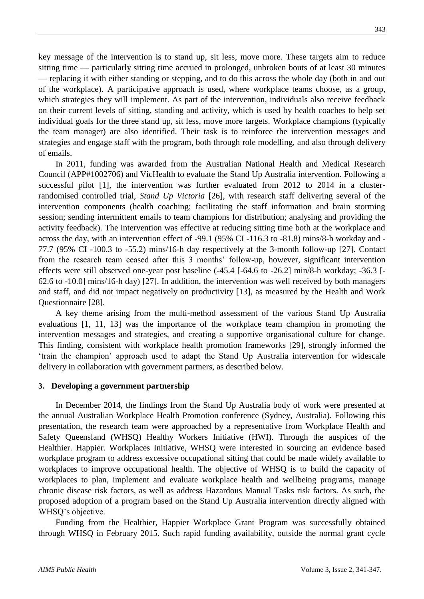key message of the intervention is to stand up, sit less, move more. These targets aim to reduce sitting time — particularly sitting time accrued in prolonged, unbroken bouts of at least 30 minutes — replacing it with either standing or stepping, and to do this across the whole day (both in and out of the workplace). A participative approach is used, where workplace teams choose, as a group, which strategies they will implement. As part of the intervention, individuals also receive feedback on their current levels of sitting, standing and activity, which is used by health coaches to help set individual goals for the three stand up, sit less, move more targets. Workplace champions (typically the team manager) are also identified. Their task is to reinforce the intervention messages and strategies and engage staff with the program, both through role modelling, and also through delivery of emails.

In 2011, funding was awarded from the Australian National Health and Medical Research Council (APP#1002706) and VicHealth to evaluate the Stand Up Australia intervention. Following a successful pilot [1], the intervention was further evaluated from 2012 to 2014 in a clusterrandomised controlled trial, *Stand Up Victoria* [26], with research staff delivering several of the intervention components (health coaching; facilitating the staff information and brain storming session; sending intermittent emails to team champions for distribution; analysing and providing the activity feedback). The intervention was effective at reducing sitting time both at the workplace and across the day, with an intervention effect of -99.1 (95% CI -116.3 to -81.8) mins/8-h workday and - 77.7 (95% CI -100.3 to -55.2) mins/16-h day respectively at the 3-month follow-up [27]. Contact from the research team ceased after this 3 months' follow-up, however, significant intervention effects were still observed one-year post baseline (-45.4 [-64.6 to -26.2] min/8-h workday; -36.3 [- 62.6 to -10.0] mins/16-h day) [27]. In addition, the intervention was well received by both managers and staff, and did not impact negatively on productivity [13], as measured by the Health and Work Questionnaire [28].

A key theme arising from the multi-method assessment of the various Stand Up Australia evaluations [1, 11, 13] was the importance of the workplace team champion in promoting the intervention messages and strategies, and creating a supportive organisational culture for change. This finding, consistent with workplace health promotion frameworks [29], strongly informed the 'train the champion' approach used to adapt the Stand Up Australia intervention for widescale delivery in collaboration with government partners, as described below.

#### **3. Developing a government partnership**

In December 2014, the findings from the Stand Up Australia body of work were presented at the annual Australian Workplace Health Promotion conference (Sydney, Australia). Following this presentation, the research team were approached by a representative from Workplace Health and Safety Queensland (WHSQ) Healthy Workers Initiative (HWI). Through the auspices of the Healthier. Happier. Workplaces Initiative, WHSQ were interested in sourcing an evidence based workplace program to address excessive occupational sitting that could be made widely available to workplaces to improve occupational health. The objective of WHSQ is to build the capacity of workplaces to plan, implement and evaluate workplace health and wellbeing programs, manage chronic disease risk factors, as well as address Hazardous Manual Tasks risk factors. As such, the proposed adoption of a program based on the Stand Up Australia intervention directly aligned with WHSQ's objective.

Funding from the Healthier, Happier Workplace Grant Program was successfully obtained through WHSQ in February 2015. Such rapid funding availability, outside the normal grant cycle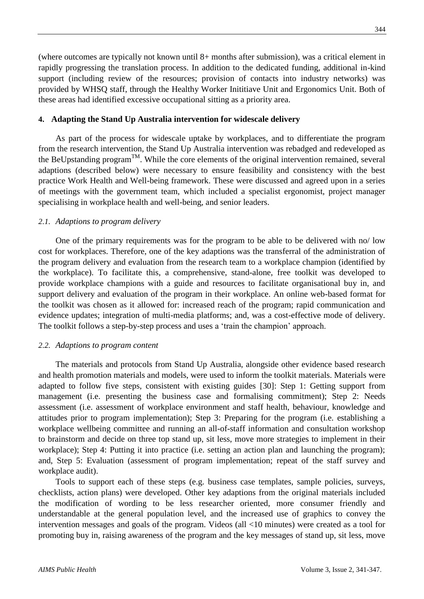(where outcomes are typically not known until 8+ months after submission), was a critical element in rapidly progressing the translation process. In addition to the dedicated funding, additional in-kind support (including review of the resources; provision of contacts into industry networks) was provided by WHSQ staff, through the Healthy Worker Inititiave Unit and Ergonomics Unit. Both of these areas had identified excessive occupational sitting as a priority area.

## **4. Adapting the Stand Up Australia intervention for widescale delivery**

As part of the process for widescale uptake by workplaces, and to differentiate the program from the research intervention, the Stand Up Australia intervention was rebadged and redeveloped as the BeUpstanding program<sup>TM</sup>. While the core elements of the original intervention remained, several adaptions (described below) were necessary to ensure feasibility and consistency with the best practice Work Health and Well-being framework. These were discussed and agreed upon in a series of meetings with the government team, which included a specialist ergonomist, project manager specialising in workplace health and well-being, and senior leaders.

## *2.1. Adaptions to program delivery*

One of the primary requirements was for the program to be able to be delivered with no/ low cost for workplaces. Therefore, one of the key adaptions was the transferral of the administration of the program delivery and evaluation from the research team to a workplace champion (identified by the workplace). To facilitate this, a comprehensive, stand-alone, free toolkit was developed to provide workplace champions with a guide and resources to facilitate organisational buy in, and support delivery and evaluation of the program in their workplace. An online web-based format for the toolkit was chosen as it allowed for: increased reach of the program; rapid communication and evidence updates; integration of multi-media platforms; and, was a cost-effective mode of delivery. The toolkit follows a step-by-step process and uses a 'train the champion' approach.

#### *2.2. Adaptions to program content*

The materials and protocols from Stand Up Australia, alongside other evidence based research and health promotion materials and models, were used to inform the toolkit materials. Materials were adapted to follow five steps, consistent with existing guides [30]: Step 1: Getting support from management (i.e. presenting the business case and formalising commitment); Step 2: Needs assessment (i.e. assessment of workplace environment and staff health, behaviour, knowledge and attitudes prior to program implementation); Step 3: Preparing for the program (i.e. establishing a workplace wellbeing committee and running an all-of-staff information and consultation workshop to brainstorm and decide on three top stand up, sit less, move more strategies to implement in their workplace); Step 4: Putting it into practice (i.e. setting an action plan and launching the program); and, Step 5: Evaluation (assessment of program implementation; repeat of the staff survey and workplace audit).

Tools to support each of these steps (e.g. business case templates, sample policies, surveys, checklists, action plans) were developed. Other key adaptions from the original materials included the modification of wording to be less researcher oriented, more consumer friendly and understandable at the general population level, and the increased use of graphics to convey the intervention messages and goals of the program. Videos (all <10 minutes) were created as a tool for promoting buy in, raising awareness of the program and the key messages of stand up, sit less, move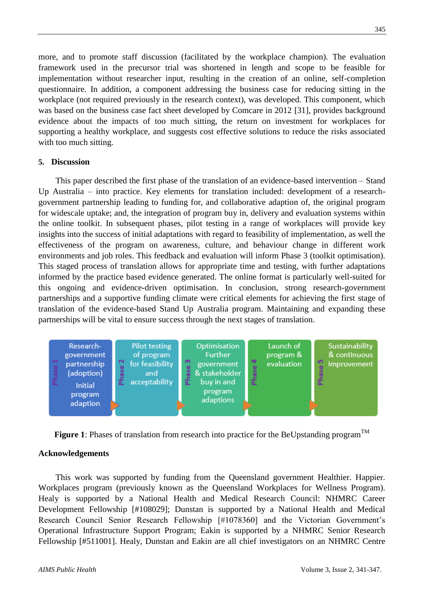more, and to promote staff discussion (facilitated by the workplace champion). The evaluation framework used in the precursor trial was shortened in length and scope to be feasible for implementation without researcher input, resulting in the creation of an online, self-completion questionnaire. In addition, a component addressing the business case for reducing sitting in the workplace (not required previously in the research context), was developed. This component, which was based on the business case fact sheet developed by Comcare in 2012 [31], provides background evidence about the impacts of too much sitting, the return on investment for workplaces for supporting a healthy workplace, and suggests cost effective solutions to reduce the risks associated with too much sitting.

## **5. Discussion**

This paper described the first phase of the translation of an evidence-based intervention – Stand Up Australia – into practice. Key elements for translation included: development of a researchgovernment partnership leading to funding for, and collaborative adaption of, the original program for widescale uptake; and, the integration of program buy in, delivery and evaluation systems within the online toolkit. In subsequent phases, pilot testing in a range of workplaces will provide key insights into the success of initial adaptations with regard to feasibility of implementation, as well the effectiveness of the program on awareness, culture, and behaviour change in different work environments and job roles. This feedback and evaluation will inform Phase 3 (toolkit optimisation). This staged process of translation allows for appropriate time and testing, with further adaptations informed by the practice based evidence generated. The online format is particularly well-suited for this ongoing and evidence-driven optimisation. In conclusion, strong research-government partnerships and a supportive funding climate were critical elements for achieving the first stage of translation of the evidence-based Stand Up Australia program. Maintaining and expanding these partnerships will be vital to ensure success through the next stages of translation.





## **Acknowledgements**

This work was supported by funding from the Queensland government Healthier. Happier. Workplaces program (previously known as the Queensland Workplaces for Wellness Program). Healy is supported by a National Health and Medical Research Council: NHMRC Career Development Fellowship [#108029]; Dunstan is supported by a National Health and Medical Research Council Senior Research Fellowship [#1078360] and the Victorian Government's Operational Infrastructure Support Program; Eakin is supported by a NHMRC Senior Research Fellowship [#511001]. Healy, Dunstan and Eakin are all chief investigators on an NHMRC Centre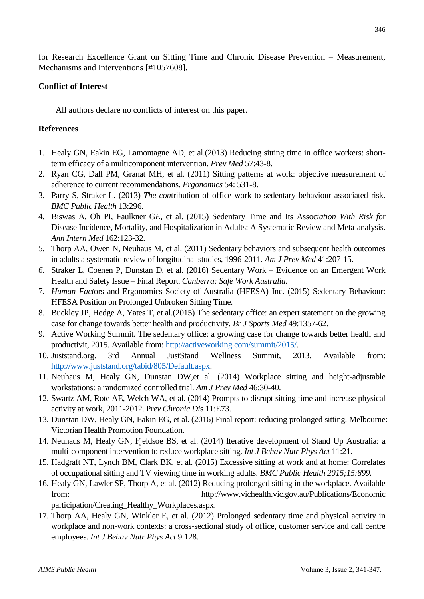for Research Excellence Grant on Sitting Time and Chronic Disease Prevention – Measurement, Mechanisms and Interventions [#1057608].

# **Conflict of Interest**

All authors declare no conflicts of interest on this paper.

# **References**

- 1. Healy GN, Eakin EG, Lamontagne AD, et al.(2013) Reducing sitting time in office workers: shortterm efficacy of a multicomponent intervention. *Prev Med* 57:43-8.
- 2. Ryan CG, Dall PM, Granat MH, et al. (2011) Sitting patterns at work: objective measurement of adherence to current recommendations. *Ergonomics* 54: 531-8.
- 3. Parry S, Straker L. (2013) *The con*tribution of office work to sedentary behaviour associated risk. *BMC Public Health* 13:296.
- 4. Biswas A, Oh PI, Faulkner G*E,* et al. (2015) Sedentary Time and Its Assoc*iation With Risk f*or Disease Incidence, Mortality, and Hospitalization in Adults: A Systematic Review and Meta-analysis. *Ann Intern Med* 162:123-32.
- 5. Thorp AA, Owen N, Neuhaus M, et al. (2011) Sedentary behaviors and subsequent health outcomes in adults a systematic review of longitudinal studies, 1996-2011. *Am J Prev Med* 41:207-15.
- *6.* Straker L, Coenen P, Dunstan D, et al. (2016) Sedentary Work Evidence on an Emergent Work Health and Safety Issue – Final Report. *Canberra: Safe Work Australia*.
- 7. *Human Fact*ors and Ergonomics Society of Australia (HFESA) Inc. (2015) Sedentary Behaviour: HFESA Position on Prolonged Unbroken Sitting Time.
- 8. Buckley JP, Hedge A, Yates T, et al.(2015) The sedentary office: an expert statement on the growing case for change towards better health and productivity. *Br J Sports Med* 49:1357-62.
- 9. Active Working Summit. The sedentary office: a growing case for change towards better health and productivit, 2015. Available from: [http://activeworking.com/summit/2015/.](http://activeworking.com/summit/2015/)
- 10. Juststand.org. 3rd Annual JustStand Wellness Summit, 2013. Available from: [http://www.juststand.org/tabid/805/Default.aspx.](http://www.juststand.org/tabid/805/Default.aspx)
- 11. Neuhaus M, Healy GN, Dunstan DW,et al. (2014) Workplace sitting and height-adjustable workstations: a randomized controlled trial. *Am J Prev Med* 46:30-40.
- 12. Swartz AM, Rote AE, Welch WA, et al. (2014) Prompts to disrupt sitting time and increase physical activity at work, 2011-2012. Pr*ev Chronic Di*s 11:E73.
- 13. Dunstan DW, Healy GN, Eakin EG, et al. (2016) Final report: reducing prolonged sitting. Melbourne: Victorian Health Promotion Foundation.
- 14. Neuhaus M, Healy GN, Fjeldsoe BS, et al. (2014) Iterative development of Stand Up Australia: a multi-component intervention to reduce workplace sitting. *Int J Behav Nutr Phys Act* 11:21.
- 15. Hadgraft NT, Lynch BM, Clark BK, et al. (2015) Excessive sitting at work and at home: Correlates of occupational sitting and TV viewing time in working adults. *BMC Public Health 2015;15:899.*
- 16. Healy GN, Lawler SP, Thorp A, et al. (2012) Reducing prolonged sitting in the workplace. Available from: http://www.vichealth.vic.gov.au/Publications/Economic participation/Creating\_Healthy\_Workplaces.aspx.
- 17. Thorp AA, Healy GN, Winkler E, et al. (2012) Prolonged sedentary time and physical activity in workplace and non-work contexts: a cross-sectional study of office, customer service and call centre employees. *Int J Behav Nutr Phys Act* 9:128.